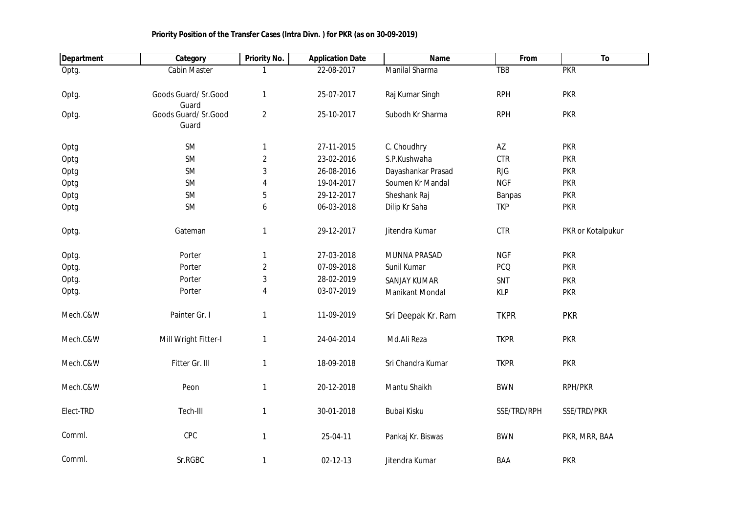| <b>Department</b> | Category                      | <b>Priority No.</b> | <b>Application Date</b> | Name                | From        | To                |
|-------------------|-------------------------------|---------------------|-------------------------|---------------------|-------------|-------------------|
| Optg.             | <b>Cabin Master</b>           |                     | 22-08-2017              | Manilal Sharma      | <b>TBB</b>  | <b>PKR</b>        |
| Optg.             | Goods Guard/ Sr.Good<br>Guard | 1                   | 25-07-2017              | Raj Kumar Singh     | <b>RPH</b>  | <b>PKR</b>        |
| Optg.             | Goods Guard/ Sr.Good<br>Guard | $\overline{2}$      | 25-10-2017              | Subodh Kr Sharma    | <b>RPH</b>  | <b>PKR</b>        |
| Optg              | <b>SM</b>                     | 1                   | 27-11-2015              | C. Choudhry         | AZ          | <b>PKR</b>        |
| Optg              | <b>SM</b>                     | $\overline{2}$      | 23-02-2016              | S.P.Kushwaha        | <b>CTR</b>  | <b>PKR</b>        |
| Optg              | <b>SM</b>                     | $\sqrt{3}$          | 26-08-2016              | Dayashankar Prasad  | <b>RJG</b>  | <b>PKR</b>        |
| Optg              | <b>SM</b>                     | 4                   | 19-04-2017              | Soumen Kr Mandal    | <b>NGF</b>  | <b>PKR</b>        |
| Optg              | SM                            | 5                   | 29-12-2017              | Sheshank Raj        | Banpas      | <b>PKR</b>        |
| Optg              | SM                            | 6                   | 06-03-2018              | Dilip Kr Saha       | <b>TKP</b>  | <b>PKR</b>        |
| Optg.             | Gateman                       | 1                   | 29-12-2017              | Jitendra Kumar      | CTR         | PKR or Kotalpukur |
| Optg.             | Porter                        | $\mathbf{1}$        | 27-03-2018              | MUNNA PRASAD        | <b>NGF</b>  | <b>PKR</b>        |
| Optg.             | Porter                        | $\overline{2}$      | 07-09-2018              | Sunil Kumar         | <b>PCQ</b>  | <b>PKR</b>        |
| Optg.             | Porter                        | $\mathbf{3}$        | 28-02-2019              | <b>SANJAY KUMAR</b> | SNT         | <b>PKR</b>        |
| Optg.             | Porter                        | $\overline{4}$      | 03-07-2019              | Manikant Mondal     | <b>KLP</b>  | <b>PKR</b>        |
| Mech.C&W          | Painter Gr. I                 | $\mathbf{1}$        | 11-09-2019              | Sri Deepak Kr. Ram  | <b>TKPR</b> | <b>PKR</b>        |
| Mech.C&W          | Mill Wright Fitter-I          | $\mathbf{1}$        | 24-04-2014              | Md.Ali Reza         | <b>TKPR</b> | <b>PKR</b>        |
| Mech.C&W          | Fitter Gr. III                | $\mathbf{1}$        | 18-09-2018              | Sri Chandra Kumar   | <b>TKPR</b> | <b>PKR</b>        |
| Mech.C&W          | Peon                          | $\mathbf{1}$        | 20-12-2018              | Mantu Shaikh        | <b>BWN</b>  | RPH/PKR           |
| Elect-TRD         | Tech-III                      | 1                   | 30-01-2018              | Bubai Kisku         | SSE/TRD/RPH | SSE/TRD/PKR       |
| Comml.            | CPC                           | $\mathbf{1}$        | 25-04-11                | Pankaj Kr. Biswas   | <b>BWN</b>  | PKR, MRR, BAA     |
| Comml.            | Sr.RGBC                       | $\mathbf{1}$        | 02-12-13                | Jitendra Kumar      | BAA         | <b>PKR</b>        |

## **Priority Position of the Transfer Cases (Intra Divn. ) for PKR (as on 30-09-2019)**